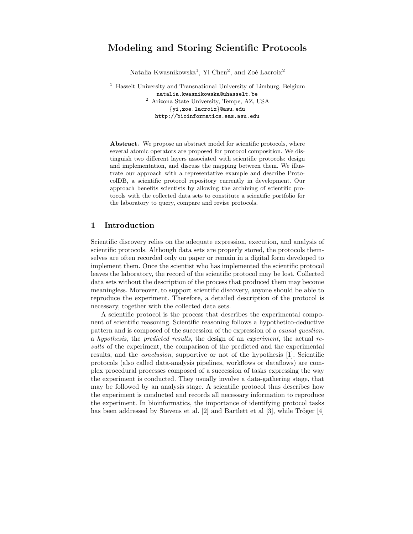# Modeling and Storing Scientific Protocols

Natalia Kwasnikowska<sup>1</sup>, Yi Chen<sup>2</sup>, and Zoé Lacroix<sup>2</sup>

<sup>1</sup> Hasselt University and Transnational University of Limburg, Belgium natalia.kwasnikowska@uhasselt.be  $^{\rm 2}$  Arizona State University, Tempe, AZ, USA {yi,zoe.lacroix}@asu.edu http://bioinformatics.eas.asu.edu

Abstract. We propose an abstract model for scientific protocols, where several atomic operators are proposed for protocol composition. We distinguish two different layers associated with scientific protocols: design and implementation, and discuss the mapping between them. We illustrate our approach with a representative example and describe ProtocolDB, a scientific protocol repository currently in development. Our approach benefits scientists by allowing the archiving of scientific protocols with the collected data sets to constitute a scientific portfolio for the laboratory to query, compare and revise protocols.

## 1 Introduction

Scientific discovery relies on the adequate expression, execution, and analysis of scientific protocols. Although data sets are properly stored, the protocols themselves are often recorded only on paper or remain in a digital form developed to implement them. Once the scientist who has implemented the scientific protocol leaves the laboratory, the record of the scientific protocol may be lost. Collected data sets without the description of the process that produced them may become meaningless. Moreover, to support scientific discovery, anyone should be able to reproduce the experiment. Therefore, a detailed description of the protocol is necessary, together with the collected data sets.

A scientific protocol is the process that describes the experimental component of scientific reasoning. Scientific reasoning follows a hypothetico-deductive pattern and is composed of the succession of the expression of a causal question, a hypothesis, the predicted results, the design of an experiment, the actual results of the experiment, the comparison of the predicted and the experimental results, and the conclusion, supportive or not of the hypothesis [1]. Scientific protocols (also called data-analysis pipelines, workflows or dataflows) are complex procedural processes composed of a succession of tasks expressing the way the experiment is conducted. They usually involve a data-gathering stage, that may be followed by an analysis stage. A scientific protocol thus describes how the experiment is conducted and records all necessary information to reproduce the experiment. In bioinformatics, the importance of identifying protocol tasks has been addressed by Stevens et al.  $[2]$  and Bartlett et al  $[3]$ , while Tröger  $[4]$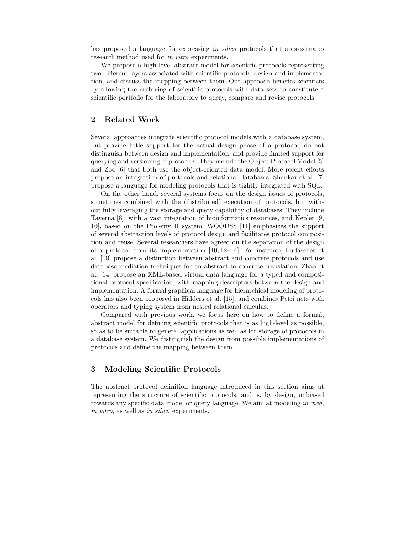has proposed a language for expressing *in silico* protocols that approximates research method used for in vitro experiments.

We propose a high-level abstract model for scientific protocols representing two different layers associated with scientific protocols: design and implementation, and discuss the mapping between them. Our approach benefits scientists by allowing the archiving of scientific protocols with data sets to constitute a scientific portfolio for the laboratory to query, compare and revise protocols.

# 2 Related Work

Several approaches integrate scientific protocol models with a database system, but provide little support for the actual design phase of a protocol, do not distinguish between design and implementation, and provide limited support for querying and versioning of protocols. They include the Object Protocol Model [5] and Zoo [6] that both use the object-oriented data model. More recent efforts propose an integration of protocols and relational databases. Shankar et al. [7] propose a language for modeling protocols that is tightly integrated with SQL.

On the other hand, several systems focus on the design issues of protocols, sometimes combined with the (distributed) execution of protocols, but without fully leveraging the storage and query capability of databases. They include Taverna [8], with a vast integration of bioinformatics resources, and Kepler [9, 10], based on the Ptolemy II system. WOODSS [11] emphasizes the support of several abstraction levels of protocol design and facilitates protocol composition and reuse. Several researchers have agreed on the separation of the design of a protocol from its implementation  $[10, 12-14]$ . For instance, Ludäscher et al. [10] propose a distinction between abstract and concrete protocols and use database mediation techniques for an abstract-to-concrete translation. Zhao et al. [14] propose an XML-based virtual data language for a typed and compositional protocol specification, with mapping descriptors between the design and implementation. A formal graphical language for hierarchical modeling of protocols has also been proposed in Hidders et al. [15], and combines Petri nets with operators and typing system from nested relational calculus.

Compared with previous work, we focus here on how to define a formal, abstract model for defining scientific protocols that is as high-level as possible, so as to be suitable to general applications as well as for storage of protocols in a database system. We distinguish the design from possible implementations of protocols and define the mapping between them.

# 3 Modeling Scientific Protocols

The abstract protocol definition language introduced in this section aims at representing the structure of scientific protocols, and is, by design, unbiased towards any specific data model or query language. We aim at modeling in vivo, in vitro, as well as in silico experiments.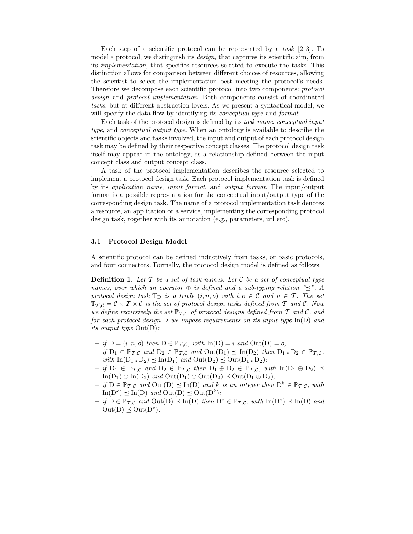Each step of a scientific protocol can be represented by a  $task [2, 3]$ . To model a protocol, we distinguish its *design*, that captures its scientific aim, from its implementation, that specifies resources selected to execute the tasks. This distinction allows for comparison between different choices of resources, allowing the scientist to select the implementation best meeting the protocol's needs. Therefore we decompose each scientific protocol into two components: protocol design and protocol implementation. Both components consist of coordinated tasks, but at different abstraction levels. As we present a syntactical model, we will specify the data flow by identifying its *conceptual type* and *format*.

Each task of the protocol design is defined by its task name, conceptual input type, and conceptual output type. When an ontology is available to describe the scientific objects and tasks involved, the input and output of each protocol design task may be defined by their respective concept classes. The protocol design task itself may appear in the ontology, as a relationship defined between the input concept class and output concept class.

A task of the protocol implementation describes the resource selected to implement a protocol design task. Each protocol implementation task is defined by its application name, input format, and output format. The input/output format is a possible representation for the conceptual input/output type of the corresponding design task. The name of a protocol implementation task denotes a resource, an application or a service, implementing the corresponding protocol design task, together with its annotation (e.g., parameters, url etc).

#### 3.1 Protocol Design Model

A scientific protocol can be defined inductively from tasks, or basic protocols, and four connectors. Formally, the protocol design model is defined as follows.

**Definition 1.** Let  $\mathcal{T}$  be a set of task names. Let  $\mathcal{C}$  be a set of conceptual type names, over which an operator  $\oplus$  is defined and a sub-typing relation " $\preceq$ ". A protocol design task  $T_D$  is a triple  $(i, n, o)$  with  $i, o \in C$  and  $n \in T$ . The set  $\mathbb{T}_{T, \mathcal{C}} = \mathcal{C} \times \mathcal{T} \times \mathcal{C}$  is the set of protocol design tasks defined from T and C. Now we define recursively the set  $\mathbb{P}_{T, \mathcal{C}}$  of protocol designs defined from T and C, and for each protocol design  $D$  we impose requirements on its input type  $In(D)$  and its output type Out(D):

- $-$  if  $D = (i, n, o)$  then  $D \in \mathbb{P}_{\mathcal{T}, \mathcal{C}}$ , with  $In(D) = i$  and  $Out(D) = o;$
- if D<sub>1</sub> ∈  $\mathbb{P}_{\mathcal{T},\mathcal{C}}$  and D<sub>2</sub> ∈  $\mathbb{P}_{\mathcal{T},\mathcal{C}}$  and Out(D<sub>1</sub>)  $\preceq$  In(D<sub>2</sub>) then D<sub>1</sub> **.** D<sub>2</sub> ∈  $\mathbb{P}_{\mathcal{T},\mathcal{C}}$ , with  $In(D_1 \tcdot D_2) \preceq In(D_1)$  and  $Out(D_2) \preceq Out(D_1 \tcdot D_2);$
- $-$  if D<sub>1</sub> ∈  $\mathbb{P}_{\mathcal{T},\mathcal{C}}$  and D<sub>2</sub> ∈  $\mathbb{P}_{\mathcal{T},\mathcal{C}}$  then D<sub>1</sub> ⊕ D<sub>2</sub> ∈  $\mathbb{P}_{\mathcal{T},\mathcal{C}}$ , with In(D<sub>1</sub> ⊕ D<sub>2</sub>)  $\preceq$  $\text{In}(\text{D}_1) \oplus \text{In}(\text{D}_2)$  and  $\text{Out}(\text{D}_1) \oplus \text{Out}(\text{D}_2) \preceq \text{Out}(\text{D}_1 \oplus \text{D}_2);$
- $-$  if  $D \in \mathbb{P}_{T, C}$  and  $Out(D) \preceq In(D)$  and k is an integer then  $D^k \in \mathbb{P}_{T, C}$ , with  $\text{In}(\mathcal{D}^k) \preceq \text{In}(\mathcal{D})$  and  $\text{Out}(\mathcal{D}) \preceq \text{Out}(\mathcal{D}^k)$ ;
- $-$  if D ∈  $\mathbb{P}_{\mathcal{T},\mathcal{C}}$  and Out(D)  $\preceq$  In(D) then D<sup>\*</sup> ∈  $\mathbb{P}_{\mathcal{T},\mathcal{C}}$ , with In(D<sup>\*</sup>)  $\preceq$  In(D) and  $Out(D) \preceq Out(D^*).$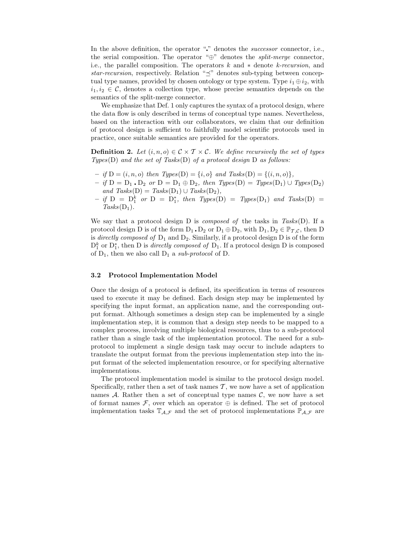In the above definition, the operator "" denotes the *successor* connector, i.e., the serial composition. The operator " $\oplus$ " denotes the *split-merge* connector, i.e., the parallel composition. The operators  $k$  and  $*$  denote  $k$ -recursion, and star-recursion, respectively. Relation " $\preceq$ " denotes sub-typing between conceptual type names, provided by chosen ontology or type system. Type  $i_1 \oplus i_2$ , with  $i_1, i_2 \in \mathcal{C}$ , denotes a collection type, whose precise semantics depends on the semantics of the split-merge connector.

We emphasize that Def. 1 only captures the syntax of a protocol design, where the data flow is only described in terms of conceptual type names. Nevertheless, based on the interaction with our collaborators, we claim that our definition of protocol design is sufficient to faithfully model scientific protocols used in practice, once suitable semantics are provided for the operators.

**Definition 2.** Let  $(i, n, o) \in \mathcal{C} \times \mathcal{T} \times \mathcal{C}$ . We define recursively the set of types Types(D) and the set of Tasks(D) of a protocol design D as follows:

- if  $D = (i, n, o)$  then  $Types(D) = \{i, o\}$  and  $Task(S) = \{(i, n, o)\},$
- $-$  if D = D<sub>1</sub> ⋅ D<sub>2</sub> or D = D<sub>1</sub> ⊕ D<sub>2</sub>, then Types(D) = Types(D<sub>1</sub>) ∪ Types(D<sub>2</sub>) and  $Tasks(D) = Tasks(D_1) \cup Tasks(D_2),$
- $-$  if  $D = D_1^k$  or  $D = D_1^*$ , then  $Types(D) = Types(D_1)$  and  $TaskS(D) =$  $Tasks(D_1)$ .

We say that a protocol design  $D$  is *composed of* the tasks in  $Tasks(D)$ . If a protocol design D is of the form  $D_1 \cdot D_2$  or  $D_1 \oplus D_2$ , with  $D_1, D_2 \in \mathbb{P}_{\mathcal{T},\mathcal{C}}$ , then D is directly composed of  $D_1$  and  $D_2$ . Similarly, if a protocol design D is of the form  $D_1^k$  or  $D_1^*$ , then D is *directly composed of*  $D_1$ . If a protocol design D is composed of  $D_1$ , then we also call  $D_1$  a sub-protocol of D.

## 3.2 Protocol Implementation Model

Once the design of a protocol is defined, its specification in terms of resources used to execute it may be defined. Each design step may be implemented by specifying the input format, an application name, and the corresponding output format. Although sometimes a design step can be implemented by a single implementation step, it is common that a design step needs to be mapped to a complex process, involving multiple biological resources, thus to a sub-protocol rather than a single task of the implementation protocol. The need for a subprotocol to implement a single design task may occur to include adapters to translate the output format from the previous implementation step into the input format of the selected implementation resource, or for specifying alternative implementations.

The protocol implementation model is similar to the protocol design model. Specifically, rather then a set of task names  $\mathcal T$ , we now have a set of application names  $A$ . Rather then a set of conceptual type names  $C$ , we now have a set of format names  $\mathcal F$ , over which an operator  $\oplus$  is defined. The set of protocol implementation tasks  $\mathbb{T}_{\mathcal{A},\mathcal{F}}$  and the set of protocol implementations  $\mathbb{P}_{\mathcal{A},\mathcal{F}}$  are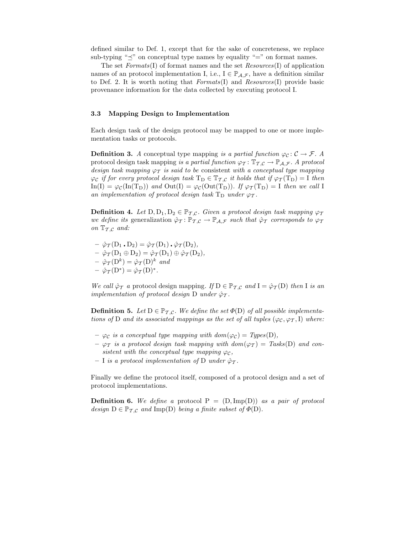defined similar to Def. 1, except that for the sake of concreteness, we replace sub-typing " $\prec$ " on conceptual type names by equality "=" on format names.

The set  $Formats(I)$  of format names and the set  $Resources(I)$  of application names of an protocol implementation I, i.e.,  $I \in \mathbb{P}_{\mathcal{A},\mathcal{F}}$ , have a definition similar to Def. 2. It is worth noting that  $Formats(I)$  and  $Resources(I)$  provide basic provenance information for the data collected by executing protocol I.

#### 3.3 Mapping Design to Implementation

Each design task of the design protocol may be mapped to one or more implementation tasks or protocols.

**Definition 3.** A conceptual type mapping is a partial function  $\varphi_c : \mathcal{C} \to \mathcal{F}$ . A protocol design task mapping is a partial function  $\varphi_{\mathcal{T}}\colon \mathbb{T}_{\mathcal{T},\mathcal{C}} \to \mathbb{P}_{\mathcal{A},\mathcal{F}}$ . A protocol design task mapping  $\varphi_T$  is said to be consistent with a conceptual type mapping  $\varphi_c$  if for every protocol design task  $T_D \in \mathbb{T}_{\mathcal{T},\mathcal{C}}$  it holds that if  $\varphi_{\mathcal{T}}(T_D) = I$  then  $\text{In(I)} = \varphi_c(\text{In(T_D)})$  and  $\text{Out(I)} = \varphi_c(\text{Out(T_D)})$ . If  $\varphi_T(\text{T_D}) = I$  then we call I an implementation of protocol design task  $T_D$  under  $\varphi_T$ .

**Definition 4.** Let  $D, D_1, D_2 \in \mathbb{P}_{\mathcal{T}, \mathcal{C}}$ . Given a protocol design task mapping  $\varphi_{\mathcal{T}}$ we define its generalization  $\hat{\varphi}_T : \mathbb{P}_{T, \mathcal{C}} \to \mathbb{P}_{\mathcal{A}, \mathcal{F}}$  such that  $\hat{\varphi}_T$  corresponds to  $\varphi_T$ on  $\mathbb{T}_{\mathcal{T},\mathcal{C}}$  and:

 $-\hat{\varphi}_{\mathcal{I}}(D_1 \cdot D_2) = \hat{\varphi}_{\mathcal{I}}(D_1) \cdot \hat{\varphi}_{\mathcal{I}}(D_2),$  $- \hat{\varphi}_{\mathcal{T}}(D_1 \oplus D_2) = \hat{\varphi}_{\mathcal{T}}(D_1) \oplus \hat{\varphi}_{\mathcal{T}}(D_2),$  $- \hat{\varphi}_{\mathcal{I}}(\mathbf{D}^k) = \hat{\varphi}_{\mathcal{I}}(\mathbf{D})^k$  and  $- \hat{\varphi}_{\mathcal{I}}(D^*) = \hat{\varphi}_{\mathcal{I}}(D)^*.$ 

We call  $\hat{\varphi}_T$  a protocol design mapping. If  $D \in \mathbb{P}_{T, C}$  and  $I = \hat{\varphi}_T(D)$  then I is an implementation of protocol design D under  $\hat{\varphi}_T$ .

**Definition 5.** Let  $D \in \mathbb{P}_{T,C}$ . We define the set  $\Phi(D)$  of all possible implementations of D and its associated mappings as the set of all tuples ( $\varphi_c, \varphi_T, I$ ) where:

- $-\varphi_c$  is a conceptual type mapping with  $dom(\varphi_c) = Types(D)$ ,
- $-\varphi_{\mathcal{T}}$  is a protocol design task mapping with dom $(\varphi_{\mathcal{T}}) =$  Tasks(D) and consistent with the conceptual type mapping  $\varphi_c$ ,
- I is a protocol implementation of D under  $\hat{\varphi}_{\tau}$ .

Finally we define the protocol itself, composed of a protocol design and a set of protocol implementations.

**Definition 6.** We define a protocol  $P = (D, \text{Imp}(D))$  as a pair of protocol design  $D \in \mathbb{P}_{\mathcal{T},\mathcal{C}}$  and Imp(D) being a finite subset of  $\Phi(D)$ .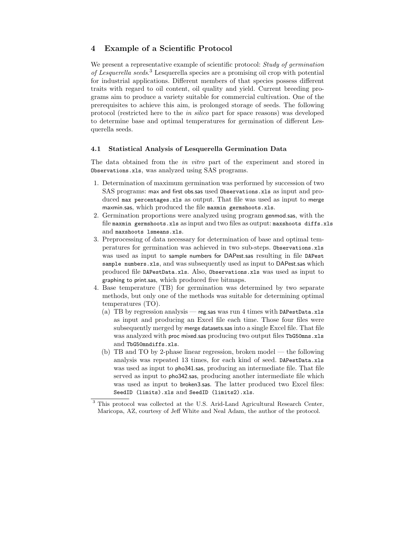# 4 Example of a Scientific Protocol

We present a representative example of scientific protocol: Study of germination of Lesquerella seeds. <sup>3</sup> Lesquerella species are a promising oil crop with potential for industrial applications. Different members of that species possess different traits with regard to oil content, oil quality and yield. Current breeding programs aim to produce a variety suitable for commercial cultivation. One of the prerequisites to achieve this aim, is prolonged storage of seeds. The following protocol (restricted here to the in silico part for space reasons) was developed to determine base and optimal temperatures for germination of different Lesquerella seeds.

## 4.1 Statistical Analysis of Lesquerella Germination Data

The data obtained from the in vitro part of the experiment and stored in Observations.xls, was analyzed using SAS programs.

- 1. Determination of maximum germination was performed by succession of two SAS programs: max and first obs.sas used Observations.xls as input and produced max percentages.xls as output. That file was used as input to merge maxmin.sas, which produced the file maxmin germshoots.xls.
- 2. Germination proportions were analyzed using program genmod.sas, with the file maxmin germshoots.xls as input and two files as output: maxshoots diffs.xls and maxshoots lsmeans.xls.
- 3. Preprocessing of data necessary for determination of base and optimal temperatures for germination was achieved in two sub-steps. Observations.xls was used as input to sample numbers for DAPest.sas resulting in file DAPest sample numbers.xls, and was subsequently used as input to DAPest.sas which produced file DAPestData.xls. Also, Observations.xls was used as input to graphing to print.sas, which produced five bitmaps.
- 4. Base temperature (TB) for germination was determined by two separate methods, but only one of the methods was suitable for determining optimal temperatures (TO).
	- (a) TB by regression analysis reg.sas was run 4 times with DAPestData.xls as input and producing an Excel file each time. Those four files were subsequently merged by merge datasets.sas into a single Excel file. That file was analyzed with proc mixed.sas producing two output files TbG50mns.xls and TbG50mndiffs.xls.
	- (b) TB and TO by 2-phase linear regression, broken model the following analysis was repeated 13 times, for each kind of seed. DAPestData.xls was used as input to pho341.sas, producing an intermediate file. That file served as input to pho342.sas, producing another intermediate file which was used as input to broken3.sas. The latter produced two Excel files: SeedID (limits).xls and SeedID (limits2).xls.

<sup>3</sup> This protocol was collected at the U.S. Arid-Land Agricultural Research Center, Maricopa, AZ, courtesy of Jeff White and Neal Adam, the author of the protocol.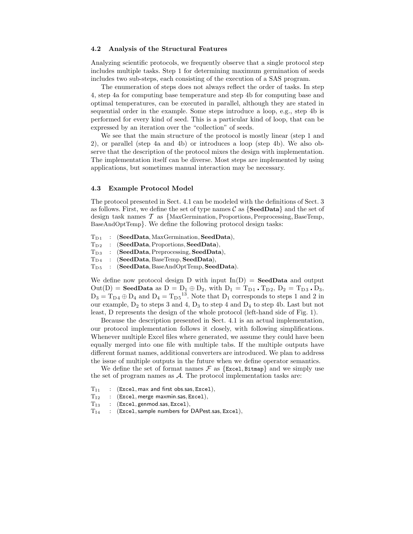#### 4.2 Analysis of the Structural Features

Analyzing scientific protocols, we frequently observe that a single protocol step includes multiple tasks. Step 1 for determining maximum germination of seeds includes two sub-steps, each consisting of the execution of a SAS program.

The enumeration of steps does not always reflect the order of tasks. In step 4, step 4a for computing base temperature and step 4b for computing base and optimal temperatures, can be executed in parallel, although they are stated in sequential order in the example. Some steps introduce a loop, e.g., step 4b is performed for every kind of seed. This is a particular kind of loop, that can be expressed by an iteration over the "collection" of seeds.

We see that the main structure of the protocol is mostly linear (step 1 and 2), or parallel (step 4a and 4b) or introduces a loop (step 4b). We also observe that the description of the protocol mixes the design with implementation. The implementation itself can be diverse. Most steps are implemented by using applications, but sometimes manual interaction may be necessary.

### 4.3 Example Protocol Model

The protocol presented in Sect. 4.1 can be modeled with the definitions of Sect. 3 as follows. First, we define the set of type names  $\mathcal C$  as  $\{{\bf seedData}\}$  and the set of design task names  $\mathcal T$  as {MaxGermination, Proportions, Preprocessing, BaseTemp, BaseAndOptTemp}. We define the following protocol design tasks:

- $T_{D1}$  : (SeedData, MaxGermination, SeedData),<br> $T_{D2}$  : (SeedData, Proportions, SeedData),
- $T_{D2}$  : (SeedData, Proportions, SeedData),<br> $T_{D3}$  : (SeedData, Preprocessing, SeedData
- $T_{D3}$  : (SeedData, Preprocessing, SeedData),<br> $T_{D4}$  : (SeedData, BaseTemp, SeedData),
- $T_{D4}$  : (SeedData, BaseTemp, SeedData),<br> $T_{D5}$  : (SeedData, BaseAndOptTemp, See
- $(SeedData, BaseAndOptTemp, SeedData).$

We define now protocol design D with input  $In(D) = \textbf{SeedData}$  and output Out(D) = SeedData as  $D = D_1 \oplus D_2$ , with  $D_1 = T_{D1} \cdot T_{D2}$ ,  $D_2 = T_{D3} \cdot D_3$ ,  $D_3 = T_{D4} \oplus D_4$  and  $D_4 = T_{D5}^{13}$ . Note that  $D_1$  corresponds to steps 1 and 2 in our example,  $D_2$  to steps 3 and 4,  $D_3$  to step 4 and  $D_4$  to step 4b. Last but not least, D represents the design of the whole protocol (left-hand side of Fig. 1).

Because the description presented in Sect. 4.1 is an actual implementation, our protocol implementation follows it closely, with following simplifications. Whenever multiple Excel files where generated, we assume they could have been equally merged into one file with multiple tabs. If the multiple outputs have different format names, additional converters are introduced. We plan to address the issue of multiple outputs in the future when we define operator semantics.

We define the set of format names  $\mathcal F$  as  $\{ \texttt{Exec1}, \texttt{Bitmap} \}$  and we simply use the set of program names as  $A$ . The protocol implementation tasks are:

- $T_{11}$  : (Excel, max and first obs.sas, Excel),<br> $T_{12}$  : (Excel, merge maxmin.sas, Excel),
- $T_{12}$  : (Excel, merge maxmin.sas, Excel),<br> $T_{13}$  : (Excel, genmod.sas, Excel),
- $T_{13}$  : (Excel, genmod.sas, Excel),<br> $T_{14}$  : (Excel, sample numbers for
- : (Excel, sample numbers for DAPest.sas, Excel),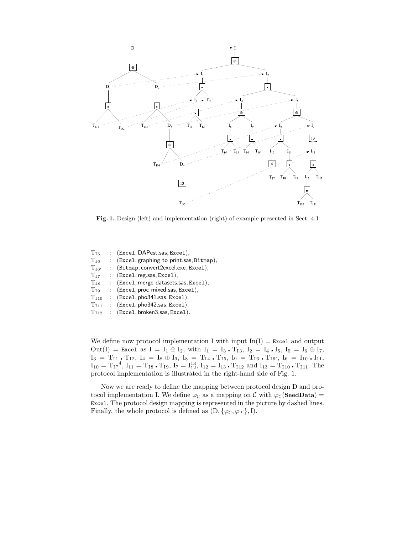

Fig. 1. Design (left) and implementation (right) of example presented in Sect. 4.1

| $T_{I5}$         |                | (Excel, DAPest.sas, Excel),             |
|------------------|----------------|-----------------------------------------|
| $T_{16}$         |                | (Excel, graphing to print.sas, Bitmap), |
| $T_{16'}$        |                | (Bitmap, convert2excel.exe, Excel),     |
| $T_{17}$         |                | (Excel, reg.sas, Excel),                |
| $T_{18}$         | $\ddot{\cdot}$ | (Excel, merge datasets.sas, Excel),     |
| $T_{19}$         |                | (Excel, proc mixed.sas, Excel),         |
| T <sub>110</sub> |                | (Excel, pho341.sas, Excel),             |
| T <sub>111</sub> |                | (Excel, pho342.sas, Excel),             |
| $T_{112}$        |                | (Excel, broken3.sas, Excel).            |
|                  |                |                                         |

We define now protocol implementation I with input  $In(I) = Excel$  and output Out(I) = Excel as  $I = I_1 \oplus I_2$ , with  $I_1 = I_3$ .  $T_{13}$ ,  $I_2 = I_4$ .  $I_5$ ,  $I_5 = I_6 \oplus I_7$ ,  ${\rm I}_3$  =  ${\rm T}_{11}$  ,  ${\rm T}_{12},\ {\rm I}_4$  = I<sub>8</sub>  $\oplus$  I<sub>9</sub>, I<sub>8</sub> =  ${\rm T}_{14}$  ,  ${\rm T}_{15},\ {\rm I}_9$  =  ${\rm T}_{16}$  ,  ${\rm T}_{16'},\ {\rm I}_6$  = I<sub>10</sub> , I<sub>11</sub>,  $I_{10} = T_{17}^{4}$ ,  $I_{11} = T_{18}$ ,  $T_{19}$ ,  $I_{7} = I_{12}^{13}$ ,  $I_{12} = I_{13}$ ,  $T_{112}$  and  $I_{13} = T_{110}$ ,  $T_{111}$ . The protocol implementation is illustrated in the right-hand side of Fig. 1.

Now we are ready to define the mapping between protocol design D and protocol implementation I. We define  $\varphi_{\mathcal{C}}$  as a mapping on C with  $\varphi_{\mathcal{C}}$  (**SeedData**) = Excel. The protocol design mapping is represented in the picture by dashed lines. Finally, the whole protocol is defined as  $(D, {\varphi_{\mathcal{C}}}, \varphi_{\mathcal{T}}), I$ .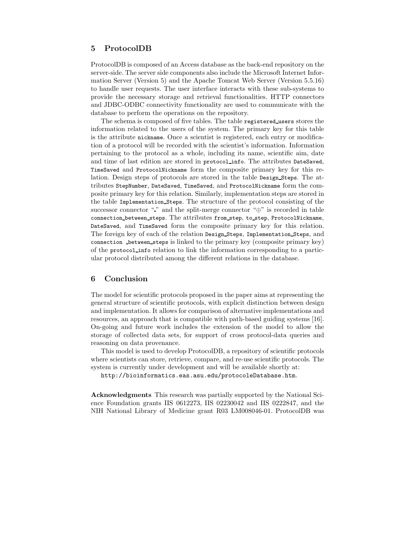# 5 ProtocolDB

ProtocolDB is composed of an Access database as the back-end repository on the server-side. The server side components also include the Microsoft Internet Information Server (Version 5) and the Apache Tomcat Web Server (Version 5.5.16) to handle user requests. The user interface interacts with these sub-systems to provide the necessary storage and retrieval functionalities. HTTP connectors and JDBC-ODBC connectivity functionality are used to communicate with the database to perform the operations on the repository.

The schema is composed of five tables. The table registered users stores the information related to the users of the system. The primary key for this table is the attribute nickname. Once a scientist is registered, each entry or modification of a protocol will be recorded with the scientist's information. Information pertaining to the protocol as a whole, including its name, scientific aim, date and time of last edition are stored in protocol info. The attributes DateSaved, TimeSaved and ProtocolNickname form the composite primary key for this relation. Design steps of protocols are stored in the table Design Steps. The attributes StepNumber, DateSaved, TimeSaved, and ProtocolNickname form the composite primary key for this relation. Similarly, implementation steps are stored in the table Implementation Steps. The structure of the protocol consisting of the successor connector "" and the split-merge connector " $\oplus$ " is recorded in table connection between steps. The attributes from step, to step, ProtocolNickname, DateSaved, and TimeSaved form the composite primary key for this relation. The foreign key of each of the relation Design Steps, Implementation Steps, and connection between steps is linked to the primary key (composite primary key) of the protocol info relation to link the information corresponding to a particular protocol distributed among the different relations in the database.

# 6 Conclusion

The model for scientific protocols proposed in the paper aims at representing the general structure of scientific protocols, with explicit distinction between design and implementation. It allows for comparison of alternative implementations and resources, an approach that is compatible with path-based guiding systems [16]. On-going and future work includes the extension of the model to allow the storage of collected data sets, for support of cross protocol-data queries and reasoning on data provenance.

This model is used to develop ProtocolDB, a repository of scientific protocols where scientists can store, retrieve, compare, and re-use scientific protocols. The system is currently under development and will be available shortly at:

http://bioinformatics.eas.asu.edu/protocoleDatabase.htm.

Acknowledgments This research was partially supported by the National Science Foundation grants IIS 0612273, IIS 02230042 and IIS 0222847, and the NIH National Library of Medicine grant R03 LM008046-01. ProtocolDB was